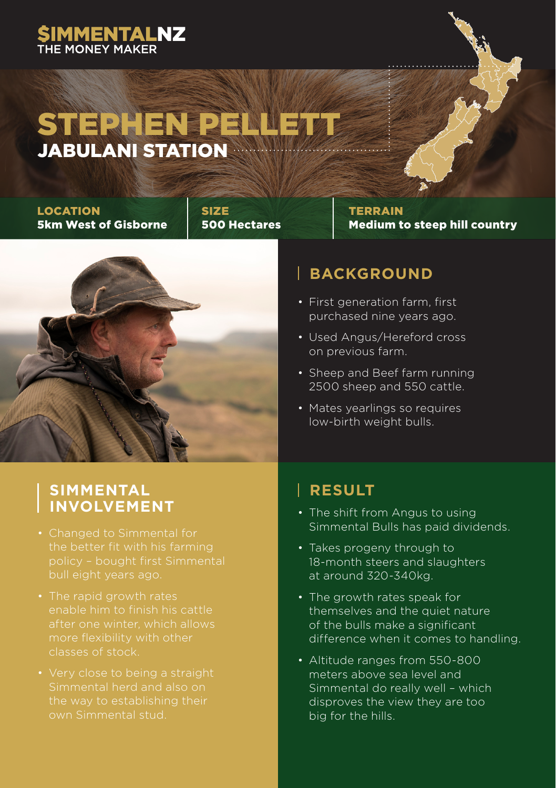## **SIMMENTALNZ**

## STEPHEN PELLETT JABULANI STATION

LOCATION 5km West of Gisborne

SIZE 500 Hectares



**TERRAIN** Medium to steep hill country

### **BACKGROUND**

- First generation farm, first purchased nine years ago.
- Used Angus/Hereford cross on previous farm.
- Sheep and Beef farm running 2500 sheep and 550 cattle.
- Mates yearlings so requires low-birth weight bulls.

### BRAELYNN FARM, JEFF FINISHES **INVOLVEMENT** • The shift from Angus to using **SIMMENTAL**

- 
- enable him to finish his cattle more flexibility with other
- the way to establishing their

#### $\mathbf{A}$  the third generation on  $\mathbf{A}$ **RESULT**

- Simmental Bulls has paid dividends.
- Takes progeny through to and progerly emodgered<br>18-month steers and slaughters FOR BEEF EXECUTED IN THE EXECUTIVE THE at around 320-340kg.
	- themselves and the quiet nature of the bulls make a significant rates when it comes to bandl difference when it comes to handling. • The growth rates speak for
- Altitude ranges from 550-800 meters above sea level and disproves the view they are too meeting consumer needs at the same time big for the hills. Simmental do really well – which